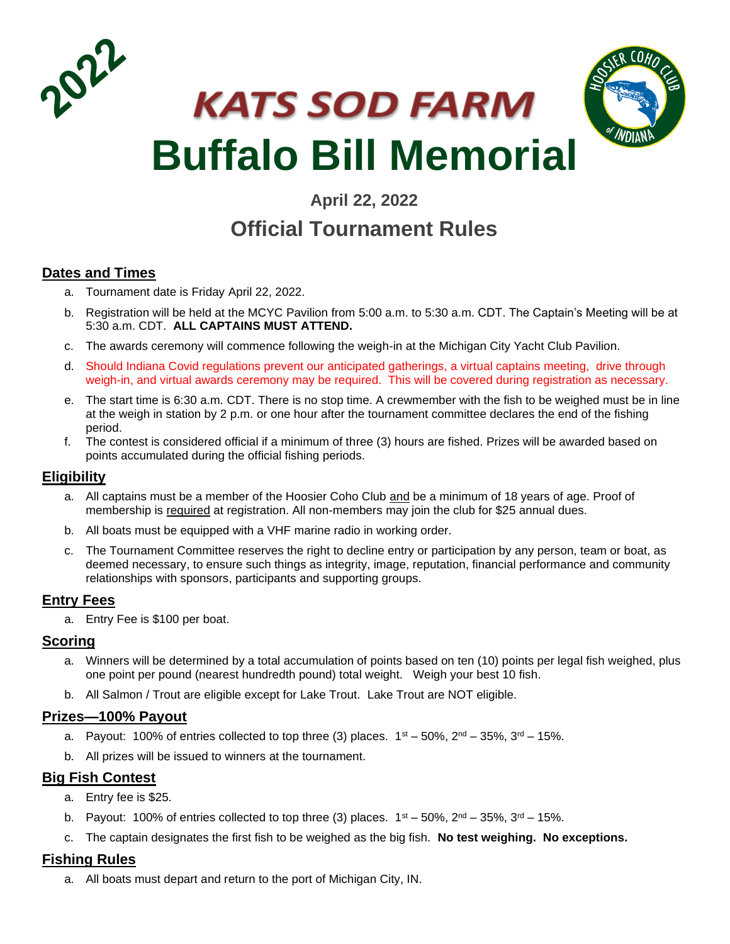



# **April 22, 2022**

# **Official Tournament Rules**

# **Dates and Times**

- a. Tournament date is Friday April 22, 2022.
- b. Registration will be held at the MCYC Pavilion from 5:00 a.m. to 5:30 a.m. CDT. The Captain's Meeting will be at 5:30 a.m. CDT. **ALL CAPTAINS MUST ATTEND.**
- c. The awards ceremony will commence following the weigh-in at the Michigan City Yacht Club Pavilion.
- d. Should Indiana Covid regulations prevent our anticipated gatherings, a virtual captains meeting, drive through weigh-in, and virtual awards ceremony may be required. This will be covered during registration as necessary.
- e. The start time is 6:30 a.m. CDT. There is no stop time. A crewmember with the fish to be weighed must be in line at the weigh in station by 2 p.m. or one hour after the tournament committee declares the end of the fishing period.
- f. The contest is considered official if a minimum of three (3) hours are fished. Prizes will be awarded based on points accumulated during the official fishing periods.

# **Eligibility**

- a. All captains must be a member of the Hoosier Coho Club and be a minimum of 18 years of age. Proof of membership is required at registration. All non-members may join the club for \$25 annual dues.
- b. All boats must be equipped with a VHF marine radio in working order.
- c. The Tournament Committee reserves the right to decline entry or participation by any person, team or boat, as deemed necessary, to ensure such things as integrity, image, reputation, financial performance and community relationships with sponsors, participants and supporting groups.

#### **Entry Fees**

a. Entry Fee is \$100 per boat.

#### **Scoring**

- a. Winners will be determined by a total accumulation of points based on ten (10) points per legal fish weighed, plus one point per pound (nearest hundredth pound) total weight. Weigh your best 10 fish.
- b. All Salmon / Trout are eligible except for Lake Trout. Lake Trout are NOT eligible.

#### **Prizes—100% Payout**

- a. Payout: 100% of entries collected to top three (3) places.  $1^{st} 50$ %,  $2^{nd} 35$ %,  $3^{rd} 15$ %.
- b. All prizes will be issued to winners at the tournament.

#### **Big Fish Contest**

- a. Entry fee is \$25.
- b. Payout: 100% of entries collected to top three (3) places.  $1^{st} 50$ %,  $2^{nd} 35$ %,  $3^{rd} 15$ %.
- c. The captain designates the first fish to be weighed as the big fish. **No test weighing. No exceptions.**

#### **Fishing Rules**

a. All boats must depart and return to the port of Michigan City, IN.